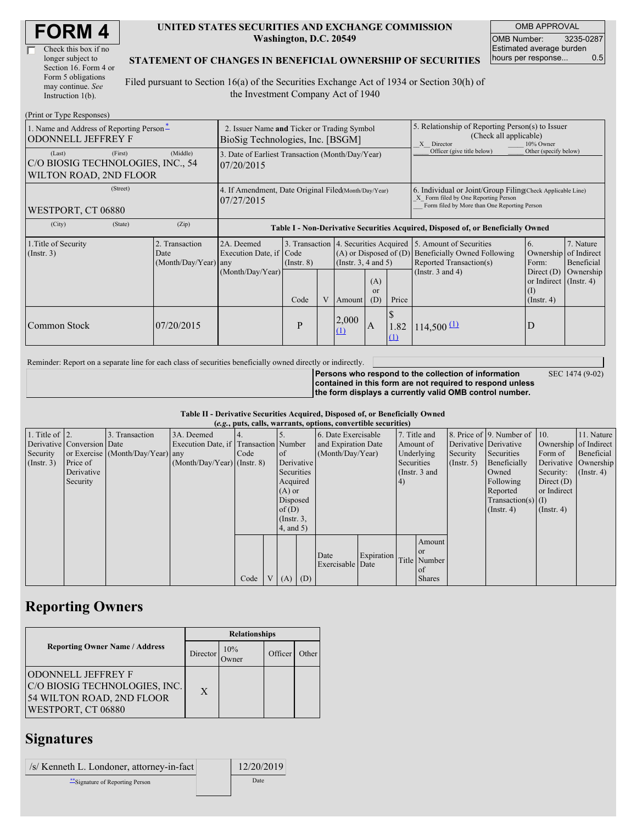| <b>FORM4</b> |
|--------------|
|--------------|

| Check this box if no  |
|-----------------------|
| longer subject to     |
| Section 16. Form 4 or |
| Form 5 obligations    |
| may continue. See     |
| Instruction $1(b)$ .  |

#### **UNITED STATES SECURITIES AND EXCHANGE COMMISSION Washington, D.C. 20549**

OMB APPROVAL OMB Number: 3235-0287 Estimated average burden hours per response... 0.5

### **STATEMENT OF CHANGES IN BENEFICIAL OWNERSHIP OF SECURITIES**

Filed pursuant to Section 16(a) of the Securities Exchange Act of 1934 or Section 30(h) of the Investment Company Act of 1940

| (Print or Type Responses)                                                        |                                                                                 |                                                                                  |                 |   |                                                    |                             |                                                                                                       |                                                                                                                                                                                                    |                                                                  |           |  |
|----------------------------------------------------------------------------------|---------------------------------------------------------------------------------|----------------------------------------------------------------------------------|-----------------|---|----------------------------------------------------|-----------------------------|-------------------------------------------------------------------------------------------------------|----------------------------------------------------------------------------------------------------------------------------------------------------------------------------------------------------|------------------------------------------------------------------|-----------|--|
| 1. Name and Address of Reporting Person-<br><b>ODONNELL JEFFREY F</b>            | 2. Issuer Name and Ticker or Trading Symbol<br>BioSig Technologies, Inc. [BSGM] |                                                                                  |                 |   |                                                    |                             | 5. Relationship of Reporting Person(s) to Issuer<br>(Check all applicable)<br>X Director<br>10% Owner |                                                                                                                                                                                                    |                                                                  |           |  |
| (First)<br>(Last)<br>C/O BIOSIG TECHNOLOGIES, INC., 54<br>WILTON ROAD, 2ND FLOOR | 3. Date of Earliest Transaction (Month/Day/Year)<br>07/20/2015                  |                                                                                  |                 |   |                                                    |                             | Officer (give title below)                                                                            | Other (specify below)                                                                                                                                                                              |                                                                  |           |  |
| (Street)<br>WESTPORT, CT 06880                                                   |                                                                                 | 4. If Amendment, Date Original Filed(Month/Day/Year)<br>07/27/2015               |                 |   |                                                    |                             |                                                                                                       | 6. Individual or Joint/Group Filing Check Applicable Line)<br>X Form filed by One Reporting Person<br>Form filed by More than One Reporting Person                                                 |                                                                  |           |  |
| (State)<br>(City)                                                                | (Zip)                                                                           | Table I - Non-Derivative Securities Acquired, Disposed of, or Beneficially Owned |                 |   |                                                    |                             |                                                                                                       |                                                                                                                                                                                                    |                                                                  |           |  |
| 1. Title of Security<br>(Insert. 3)                                              | 2. Transaction<br>Date<br>(Month/Day/Year) any                                  | 2A. Deemed<br>Execution Date, if Code                                            | $($ Instr. $8)$ |   | $(A)$ or Disposed of $(D)$<br>(Insert. 3, 4 and 5) |                             |                                                                                                       | 3. Transaction 4. Securities Acquired 5. Amount of Securities<br>7. Nature<br>6.<br><b>Beneficially Owned Following</b><br>Ownership of Indirect<br>Reported Transaction(s)<br>Beneficial<br>Form: |                                                                  |           |  |
|                                                                                  |                                                                                 | (Month/Day/Year)                                                                 | Code            | V | Amount                                             | (A)<br><sub>or</sub><br>(D) | Price                                                                                                 | (Instr. $3$ and $4$ )                                                                                                                                                                              | Direct $(D)$<br>or Indirect $($ Instr. 4 $)$<br>$($ Instr. 4 $)$ | Ownership |  |
| Common Stock                                                                     | 07/20/2015                                                                      |                                                                                  | P               |   | 2,000<br>(1)                                       | $\mathbf{A}$                | 1.82<br>$\Omega$                                                                                      | $114,500 \underline{11}$                                                                                                                                                                           | D                                                                |           |  |

Reminder: Report on a separate line for each class of securities beneficially owned directly or indirectly.

**Persons who respond to the collection of information contained in this form are not required to respond unless the form displays a currently valid OMB control number.** SEC 1474 (9-02)

#### **Table II - Derivative Securities Acquired, Disposed of, or Beneficially Owned (***e.g.***, puts, calls, warrants, options, convertible securities)**

|                        | $(c, g, pus, can, wariants, vpuons, convcitum, scuituus)$ |                                  |                                       |      |  |               |            |                     |            |            |               |                       |                              |                       |                      |
|------------------------|-----------------------------------------------------------|----------------------------------|---------------------------------------|------|--|---------------|------------|---------------------|------------|------------|---------------|-----------------------|------------------------------|-----------------------|----------------------|
| 1. Title of $\vert$ 2. |                                                           | 3. Transaction                   | 3A. Deemed                            |      |  |               |            | 6. Date Exercisable |            |            | 7. Title and  |                       | 8. Price of 9. Number of 10. |                       | 11. Nature           |
|                        | Derivative Conversion Date                                |                                  | Execution Date, if Transaction Number |      |  |               |            | and Expiration Date |            |            | Amount of     | Derivative Derivative |                              | Ownership of Indirect |                      |
| Security               |                                                           | or Exercise (Month/Day/Year) any |                                       | Code |  | <sub>of</sub> |            | (Month/Day/Year)    |            |            | Underlying    | Security              | Securities                   | Form of               | Beneficial           |
| (Insert. 3)            | Price of                                                  |                                  | $(Month/Day/Year)$ (Instr. 8)         |      |  |               | Derivative |                     |            | Securities |               | $($ Instr. 5 $)$      | Beneficially                 |                       | Derivative Ownership |
|                        | Derivative                                                |                                  |                                       |      |  | Securities    |            |                     |            |            | (Instr. 3 and |                       | Owned                        | Security:             | $($ Instr. 4)        |
|                        | Security                                                  |                                  |                                       |      |  | Acquired      |            |                     |            | 4)         |               |                       | Following                    | Direct $(D)$          |                      |
|                        |                                                           |                                  |                                       |      |  | $(A)$ or      |            |                     |            |            |               |                       | Reported                     | or Indirect           |                      |
|                        |                                                           |                                  |                                       |      |  | Disposed      |            |                     |            |            |               |                       | Transaction(s) $(I)$         |                       |                      |
|                        |                                                           |                                  |                                       |      |  | of(D)         |            |                     |            |            |               |                       | $($ Instr. 4)                | $($ Instr. 4 $)$      |                      |
|                        |                                                           |                                  |                                       |      |  | $($ Instr. 3, |            |                     |            |            |               |                       |                              |                       |                      |
|                        |                                                           |                                  |                                       |      |  | 4, and 5)     |            |                     |            |            |               |                       |                              |                       |                      |
|                        |                                                           |                                  |                                       |      |  |               |            |                     |            |            | Amount        |                       |                              |                       |                      |
|                        |                                                           |                                  |                                       |      |  |               |            | Date                | Expiration |            | <sub>or</sub> |                       |                              |                       |                      |
|                        |                                                           |                                  |                                       |      |  |               |            | Exercisable Date    |            |            | Title Number  |                       |                              |                       |                      |
|                        |                                                           |                                  |                                       |      |  |               |            |                     |            |            | of            |                       |                              |                       |                      |
|                        |                                                           |                                  |                                       | Code |  | V(A)          | (D)        |                     |            |            | <b>Shares</b> |                       |                              |                       |                      |

## **Reporting Owners**

|                                                                                                         | <b>Relationships</b> |                 |         |       |  |  |  |
|---------------------------------------------------------------------------------------------------------|----------------------|-----------------|---------|-------|--|--|--|
| <b>Reporting Owner Name / Address</b>                                                                   | Director             | 10%<br><b>T</b> | Officer | Other |  |  |  |
| IODONNELL JEFFREY F<br>C/O BIOSIG TECHNOLOGIES, INC.<br>54 WILTON ROAD, 2ND FLOOR<br>WESTPORT, CT 06880 | X                    |                 |         |       |  |  |  |

## **Signatures**

| /s/ Kenneth L. Londoner, attorney-in-fact | 12/20/2019 |
|-------------------------------------------|------------|
| Signature of Reporting Person             | Date       |